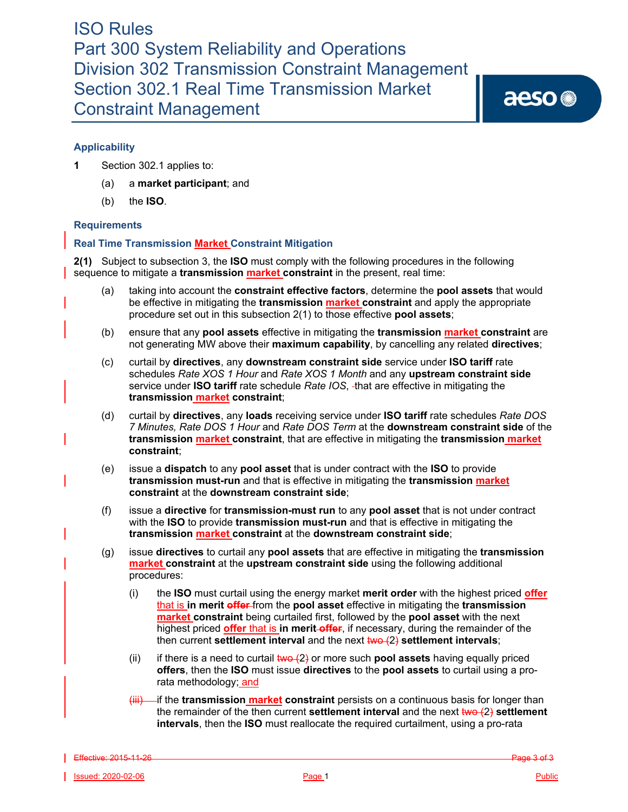aeso<sup>®</sup>

# **Applicability**

- **1** Section 302.1 applies to:
	- (a) a **market participant**; and
	- (b) the **ISO**.

# **Requirements**

# **Real Time Transmission Market Constraint Mitigation**

**2(1)** Subject to subsection 3, the **ISO** must comply with the following procedures in the following sequence to mitigate a **transmission market constraint** in the present, real time:

- (a) taking into account the **constraint effective factors**, determine the **pool assets** that would be effective in mitigating the **transmission market constraint** and apply the appropriate procedure set out in this subsection 2(1) to those effective **pool assets**;
- (b) ensure that any **pool assets** effective in mitigating the **transmission market constraint** are not generating MW above their **maximum capability**, by cancelling any related **directives**;
- (c) curtail by **directives**, any **downstream constraint side** service under **ISO tariff** rate schedules *Rate XOS 1 Hour* and *Rate XOS 1 Month* and any **upstream constraint side**  service under **ISO tariff** rate schedule *Rate IOS*, that are effective in mitigating the **transmission market constraint**;
- (d) curtail by **directives**, any **loads** receiving service under **ISO tariff** rate schedules *Rate DOS 7 Minutes, Rate DOS 1 Hour* and *Rate DOS Term* at the **downstream constraint side** of the **transmission market constraint**, that are effective in mitigating the **transmission market constraint**;
- (e) issue a **dispatch** to any **pool asset** that is under contract with the **ISO** to provide **transmission must-run** and that is effective in mitigating the **transmission market constraint** at the **downstream constraint side**;
- (f) issue a **directive** for **transmission-must run** to any **pool asset** that is not under contract with the **ISO** to provide **transmission must-run** and that is effective in mitigating the **transmission market constraint** at the **downstream constraint side**;
- (g) issue **directives** to curtail any **pool assets** that are effective in mitigating the **transmission market constraint** at the **upstream constraint side** using the following additional procedures:
	- (i) the **ISO** must curtail using the energy market **merit order** with the highest priced **offer** that is **in merit offer** from the **pool asset** effective in mitigating the **transmission market constraint** being curtailed first, followed by the **pool asset** with the next highest priced **offer** that is **in merit offer**, if necessary, during the remainder of the then current **settlement interval** and the next  $\frac{1}{2}$  settlement intervals;
	- (ii) if there is a need to curtail  $two (2)$  or more such **pool assets** having equally priced **offers**, then the **ISO** must issue **directives** to the **pool assets** to curtail using a prorata methodology; and
	- (iii) if the **transmission market constraint** persists on a continuous basis for longer than the remainder of the then current **settlement interval** and the next two (2) **settlement intervals**, then the **ISO** must reallocate the required curtailment, using a pro-rata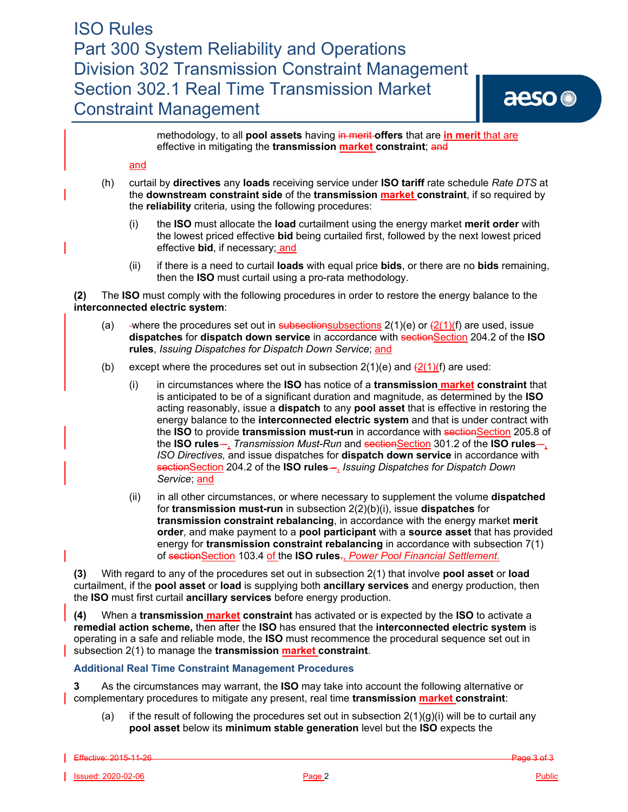methodology, to all **pool assets** having in merit **offers** that are **in merit** that are effective in mitigating the transmission **market constraint**; and

### and

- (h) curtail by **directives** any **loads** receiving service under **ISO tariff** rate schedule *Rate DTS* at the **downstream constraint side** of the **transmission market constraint**, if so required by the **reliability** criteria*,* using the following procedures:
	- (i) the **ISO** must allocate the **load** curtailment using the energy market **merit order** with the lowest priced effective **bid** being curtailed first, followed by the next lowest priced effective **bid**, if necessary; and
	- (ii) if there is a need to curtail **loads** with equal price **bids**, or there are no **bids** remaining, then the **ISO** must curtail using a pro-rata methodology.

**(2)** The **ISO** must comply with the following procedures in order to restore the energy balance to the **interconnected electric system**:

- (a) -where the procedures set out in subsectionsubsections  $2(1)(e)$  or  $\frac{(2(1)(f)}{(f)}$  are used, issue **dispatches for dispatch down service** in accordance with section 204.2 of the **ISO rules**, *Issuing Dispatches for Dispatch Down Service*; and
- (b) except where the procedures set out in subsection  $2(1)(e)$  and  $\frac{2(1)}{(f)}$  are used:
	- (i) in circumstances where the **ISO** has notice of a **transmission market constraint** that is anticipated to be of a significant duration and magnitude, as determined by the **ISO**  acting reasonably, issue a **dispatch** to any **pool asset** that is effective in restoring the energy balance to the **interconnected electric system** and that is under contract with the **ISO** to provide **transmission must-run** in accordance with sectionSection 205.8 of the **ISO rules** –, *Transmission Must-Run* and sectionSection 301.2 of the **ISO rules** –, *ISO Directives,* and issue dispatches for **dispatch down service** in accordance with sectionSection 204.2 of the **ISO rules** - *Issuing Dispatches for Dispatch Down Service*; and
	- (ii) in all other circumstances, or where necessary to supplement the volume **dispatched** for **transmission must-run** in subsection 2(2)(b)(i), issue **dispatches** for **transmission constraint rebalancing**, in accordance with the energy market **merit order**, and make payment to a **pool participant** with a **source asset** that has provided energy for **transmission constraint rebalancing** in accordance with subsection 7(1) of sectionSection 103.4 of the **ISO rules**., *Power Pool Financial Settlement.*

**(3)** With regard to any of the procedures set out in subsection 2(1) that involve **pool asset** or **load** curtailment, if the **pool asset** or **load** is supplying both **ancillary services** and energy production, then the **ISO** must first curtail **ancillary services** before energy production.

**(4)** When a **transmission market constraint** has activated or is expected by the **ISO** to activate a **remedial action scheme,** then after the **ISO** has ensured that the **interconnected electric system** is operating in a safe and reliable mode, the **ISO** must recommence the procedural sequence set out in subsection 2(1) to manage the **transmission market constraint**.

# **Additional Real Time Constraint Management Procedures**

**3** As the circumstances may warrant, the **ISO** may take into account the following alternative or complementary procedures to mitigate any present, real time **transmission market constraint**:

(a) if the result of following the procedures set out in subsection  $2(1)(g)(i)$  will be to curtail any **pool asset** below its **minimum stable generation** level but the **ISO** expects the